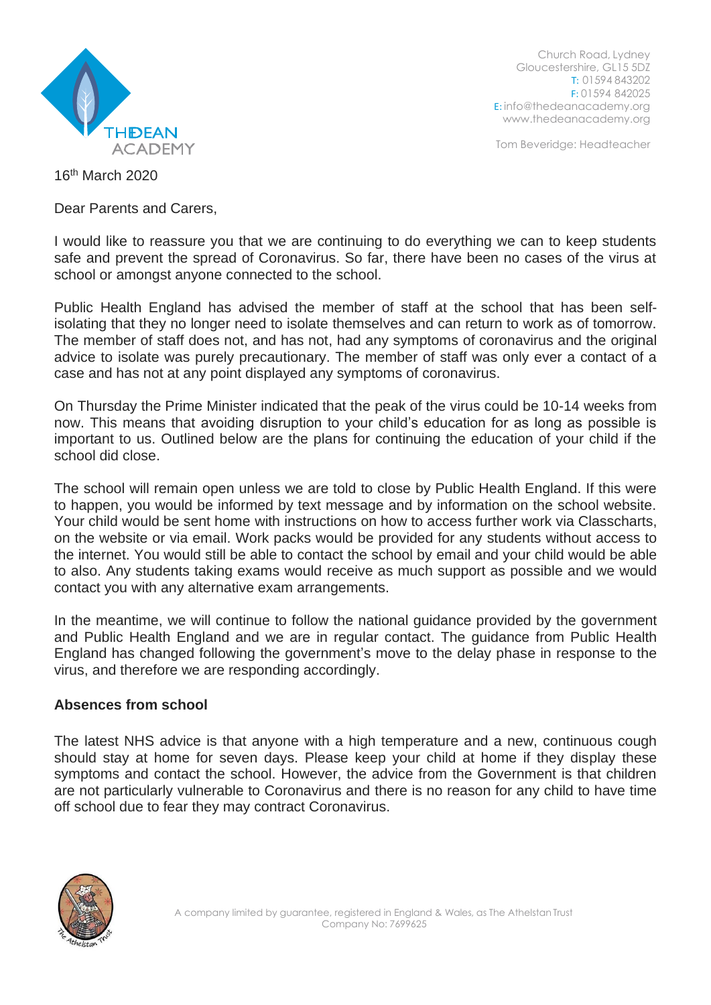

Church Road, Lydney Gloucestershire, GL15 5DZ T: 01594 843202 F: 01594 842025 E: [info@thedeanacademy.org](mailto:info@thedeanacademy.org) [www.thedeanacademy.org](http://www.thedeanacademy.org/)

Tom Beveridge: Headteacher

16th March 2020

Dear Parents and Carers,

I would like to reassure you that we are continuing to do everything we can to keep students safe and prevent the spread of Coronavirus. So far, there have been no cases of the virus at school or amongst anyone connected to the school.

Public Health England has advised the member of staff at the school that has been selfisolating that they no longer need to isolate themselves and can return to work as of tomorrow. The member of staff does not, and has not, had any symptoms of coronavirus and the original advice to isolate was purely precautionary. The member of staff was only ever a contact of a case and has not at any point displayed any symptoms of coronavirus.

On Thursday the Prime Minister indicated that the peak of the virus could be 10-14 weeks from now. This means that avoiding disruption to your child's education for as long as possible is important to us. Outlined below are the plans for continuing the education of your child if the school did close.

The school will remain open unless we are told to close by Public Health England. If this were to happen, you would be informed by text message and by information on the school website. Your child would be sent home with instructions on how to access further work via Classcharts, on the website or via email. Work packs would be provided for any students without access to the internet. You would still be able to contact the school by email and your child would be able to also. Any students taking exams would receive as much support as possible and we would contact you with any alternative exam arrangements.

In the meantime, we will continue to follow the national guidance provided by the government and Public Health England and we are in regular contact. The guidance from Public Health England has changed following the government's move to the delay phase in response to the virus, and therefore we are responding accordingly.

## **Absences from school**

The latest NHS advice is that anyone with a high temperature and a new, continuous cough should stay at home for seven days. Please keep your child at home if they display these symptoms and contact the school. However, the advice from the Government is that children are not particularly vulnerable to Coronavirus and there is no reason for any child to have time off school due to fear they may contract Coronavirus.